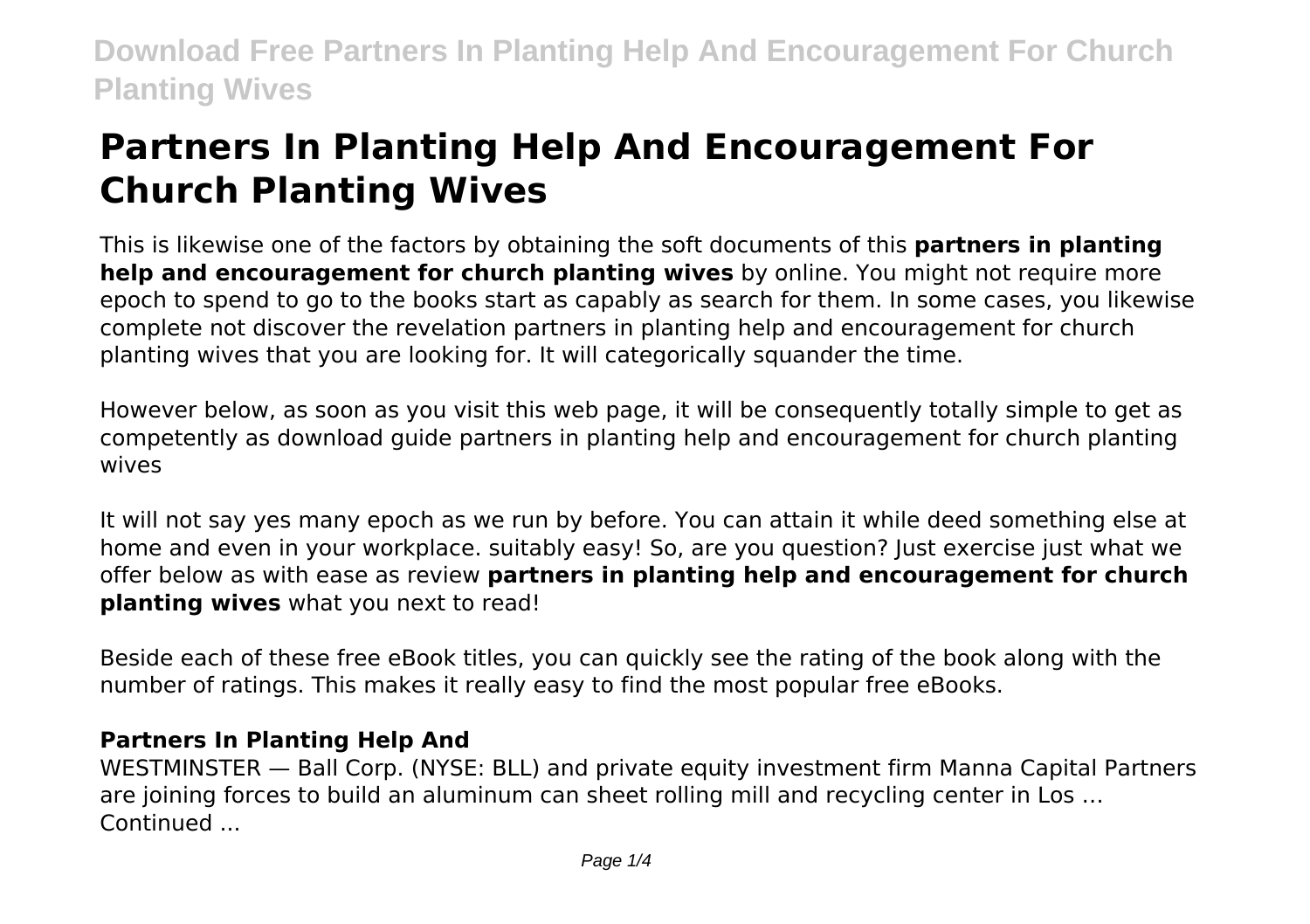# **Partners In Planting Help And Encouragement For Church Planting Wives**

This is likewise one of the factors by obtaining the soft documents of this **partners in planting help and encouragement for church planting wives** by online. You might not require more epoch to spend to go to the books start as capably as search for them. In some cases, you likewise complete not discover the revelation partners in planting help and encouragement for church planting wives that you are looking for. It will categorically squander the time.

However below, as soon as you visit this web page, it will be consequently totally simple to get as competently as download guide partners in planting help and encouragement for church planting wives

It will not say yes many epoch as we run by before. You can attain it while deed something else at home and even in your workplace. suitably easy! So, are you question? Just exercise just what we offer below as with ease as review **partners in planting help and encouragement for church planting wives** what you next to read!

Beside each of these free eBook titles, you can quickly see the rating of the book along with the number of ratings. This makes it really easy to find the most popular free eBooks.

#### **Partners In Planting Help And**

WESTMINSTER — Ball Corp. (NYSE: BLL) and private equity investment firm Manna Capital Partners are joining forces to build an aluminum can sheet rolling mill and recycling center in Los … Continued ...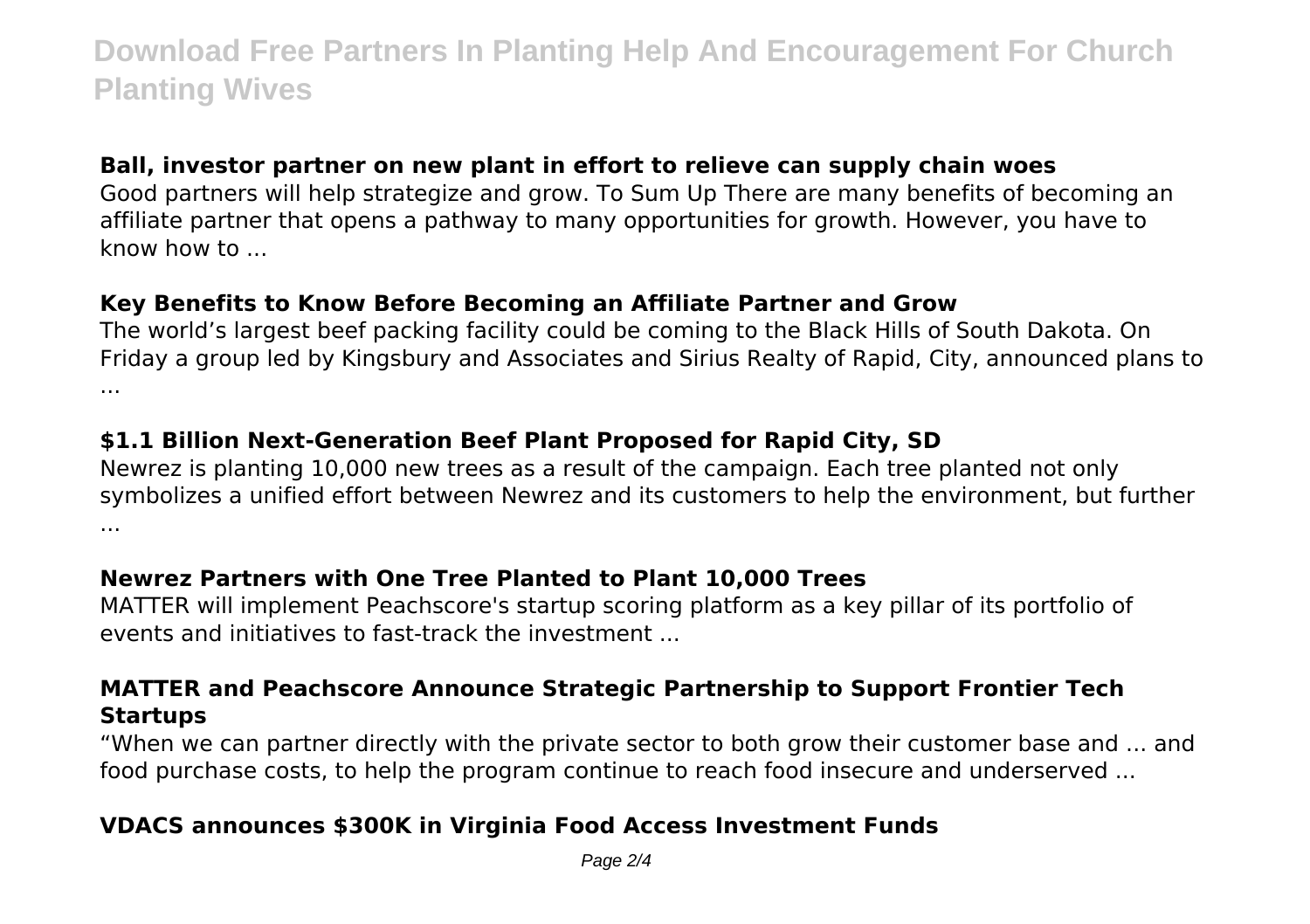# **Ball, investor partner on new plant in effort to relieve can supply chain woes**

Good partners will help strategize and grow. To Sum Up There are many benefits of becoming an affiliate partner that opens a pathway to many opportunities for growth. However, you have to know how to ...

#### **Key Benefits to Know Before Becoming an Affiliate Partner and Grow**

The world's largest beef packing facility could be coming to the Black Hills of South Dakota. On Friday a group led by Kingsbury and Associates and Sirius Realty of Rapid, City, announced plans to ...

# **\$1.1 Billion Next-Generation Beef Plant Proposed for Rapid City, SD**

Newrez is planting 10,000 new trees as a result of the campaign. Each tree planted not only symbolizes a unified effort between Newrez and its customers to help the environment, but further ...

# **Newrez Partners with One Tree Planted to Plant 10,000 Trees**

MATTER will implement Peachscore's startup scoring platform as a key pillar of its portfolio of events and initiatives to fast-track the investment ...

# **MATTER and Peachscore Announce Strategic Partnership to Support Frontier Tech Startups**

"When we can partner directly with the private sector to both grow their customer base and ... and food purchase costs, to help the program continue to reach food insecure and underserved ...

# **VDACS announces \$300K in Virginia Food Access Investment Funds**

Page 2/4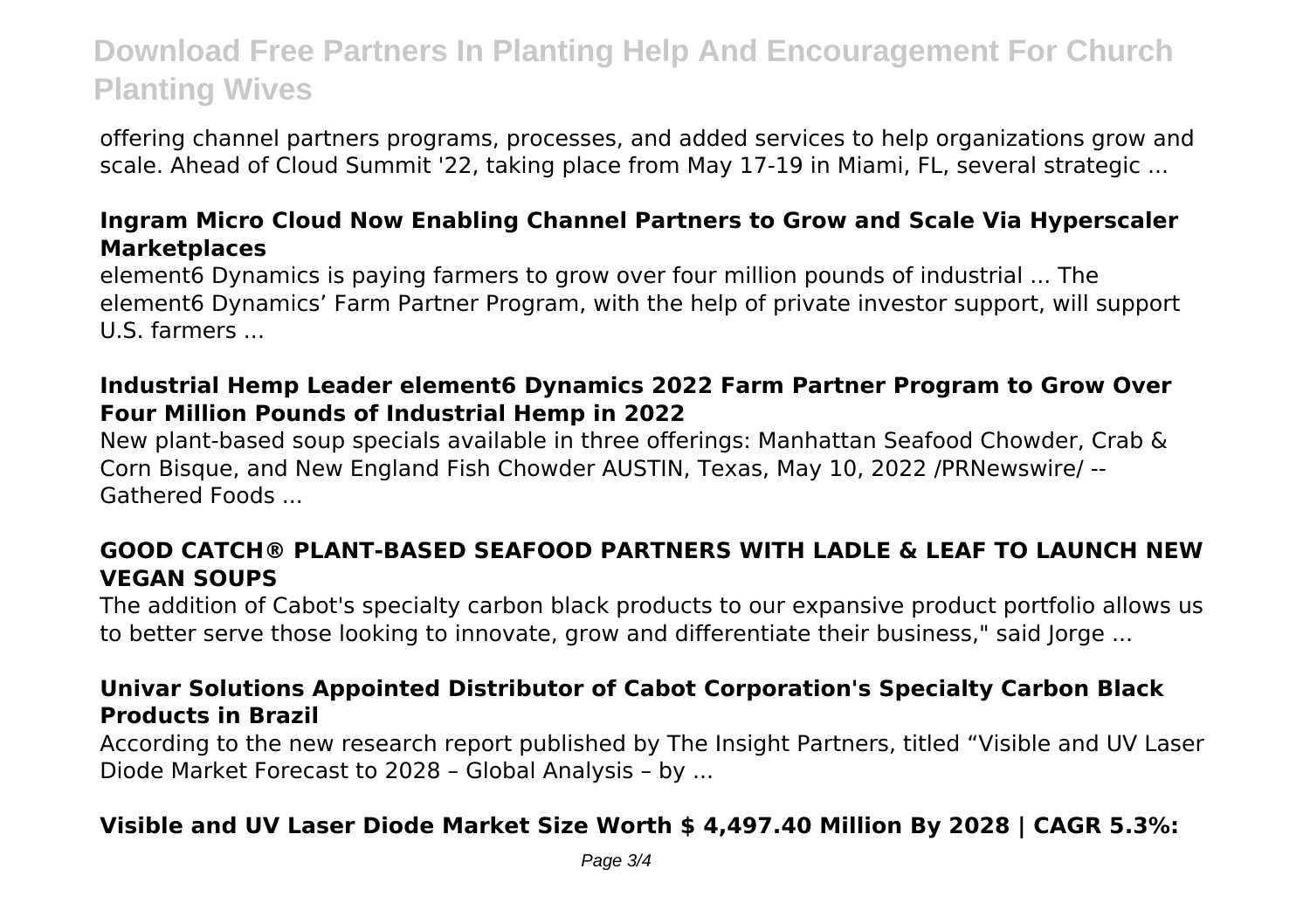offering channel partners programs, processes, and added services to help organizations grow and scale. Ahead of Cloud Summit '22, taking place from May 17-19 in Miami, FL, several strategic ...

#### **Ingram Micro Cloud Now Enabling Channel Partners to Grow and Scale Via Hyperscaler Marketplaces**

element6 Dynamics is paying farmers to grow over four million pounds of industrial ... The element6 Dynamics' Farm Partner Program, with the help of private investor support, will support U.S. farmers ...

#### **Industrial Hemp Leader element6 Dynamics 2022 Farm Partner Program to Grow Over Four Million Pounds of Industrial Hemp in 2022**

New plant-based soup specials available in three offerings: Manhattan Seafood Chowder, Crab & Corn Bisque, and New England Fish Chowder AUSTIN, Texas, May 10, 2022 /PRNewswire/ -- Gathered Foods ...

# **GOOD CATCH® PLANT-BASED SEAFOOD PARTNERS WITH LADLE & LEAF TO LAUNCH NEW VEGAN SOUPS**

The addition of Cabot's specialty carbon black products to our expansive product portfolio allows us to better serve those looking to innovate, grow and differentiate their business," said Jorge ...

#### **Univar Solutions Appointed Distributor of Cabot Corporation's Specialty Carbon Black Products in Brazil**

According to the new research report published by The Insight Partners, titled "Visible and UV Laser Diode Market Forecast to 2028 – Global Analysis – by ...

#### **Visible and UV Laser Diode Market Size Worth \$ 4,497.40 Million By 2028 | CAGR 5.3%:**